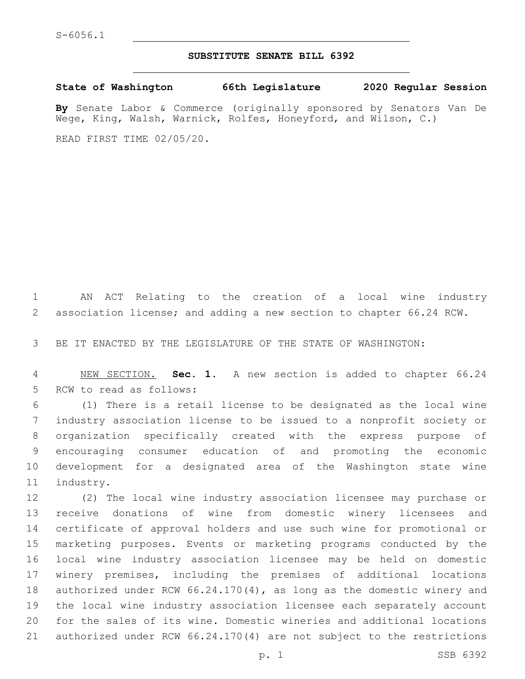## **SUBSTITUTE SENATE BILL 6392**

**State of Washington 66th Legislature 2020 Regular Session**

**By** Senate Labor & Commerce (originally sponsored by Senators Van De Wege, King, Walsh, Warnick, Rolfes, Honeyford, and Wilson, C.)

READ FIRST TIME 02/05/20.

 AN ACT Relating to the creation of a local wine industry association license; and adding a new section to chapter 66.24 RCW.

BE IT ENACTED BY THE LEGISLATURE OF THE STATE OF WASHINGTON:

 NEW SECTION. **Sec. 1.** A new section is added to chapter 66.24 5 RCW to read as follows:

 (1) There is a retail license to be designated as the local wine industry association license to be issued to a nonprofit society or organization specifically created with the express purpose of encouraging consumer education of and promoting the economic development for a designated area of the Washington state wine 11 industry.

 (2) The local wine industry association licensee may purchase or receive donations of wine from domestic winery licensees and certificate of approval holders and use such wine for promotional or marketing purposes. Events or marketing programs conducted by the local wine industry association licensee may be held on domestic winery premises, including the premises of additional locations authorized under RCW 66.24.170(4), as long as the domestic winery and the local wine industry association licensee each separately account for the sales of its wine. Domestic wineries and additional locations authorized under RCW 66.24.170(4) are not subject to the restrictions